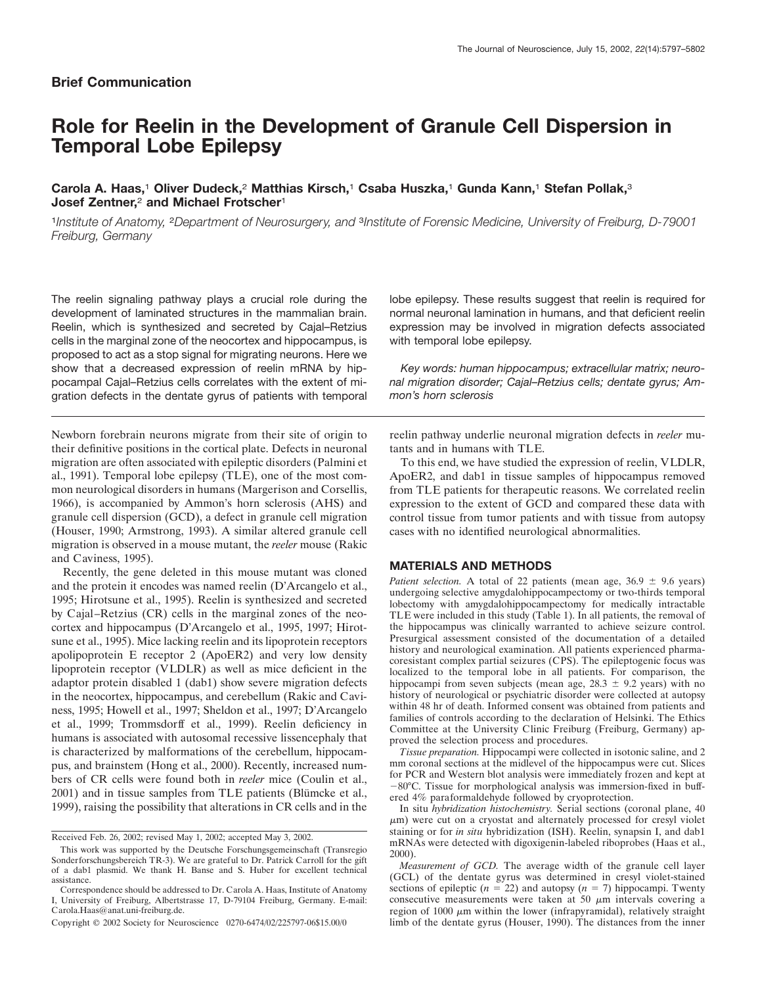# **Brief Communication**

# **Role for Reelin in the Development of Granule Cell Dispersion in Temporal Lobe Epilepsy**

# **Carola A. Haas,**<sup>1</sup> **Oliver Dudeck,**<sup>2</sup> **Matthias Kirsch,**<sup>1</sup> **Csaba Huszka,**<sup>1</sup> **Gunda Kann,**<sup>1</sup> **Stefan Pollak,**<sup>3</sup> **Josef Zentner,**<sup>2</sup> **and Michael Frotscher**<sup>1</sup>

<sup>1</sup>*Institute of Anatomy,* <sup>2</sup>*Department of Neurosurgery, and* <sup>3</sup>*Institute of Forensic Medicine, University of Freiburg, D-79001 Freiburg, Germany*

The reelin signaling pathway plays a crucial role during the development of laminated structures in the mammalian brain. Reelin, which is synthesized and secreted by Cajal–Retzius cells in the marginal zone of the neocortex and hippocampus, is proposed to act as a stop signal for migrating neurons. Here we show that a decreased expression of reelin mRNA by hippocampal Cajal–Retzius cells correlates with the extent of migration defects in the dentate gyrus of patients with temporal

Newborn forebrain neurons migrate from their site of origin to their definitive positions in the cortical plate. Defects in neuronal migration are often associated with epileptic disorders (Palmini et al., 1991). Temporal lobe epilepsy (TLE), one of the most common neurological disorders in humans (Margerison and Corsellis, 1966), is accompanied by Ammon's horn sclerosis (AHS) and granule cell dispersion (GCD), a defect in granule cell migration (Houser, 1990; Armstrong, 1993). A similar altered granule cell migration is observed in a mouse mutant, the *reeler* mouse (Rakic and Caviness, 1995).

Recently, the gene deleted in this mouse mutant was cloned and the protein it encodes was named reelin (D'Arcangelo et al., 1995; Hirotsune et al., 1995). Reelin is synthesized and secreted by Cajal–Retzius (CR) cells in the marginal zones of the neocortex and hippocampus (D'Arcangelo et al., 1995, 1997; Hirotsune et al., 1995). Mice lacking reelin and its lipoprotein receptors apolipoprotein E receptor 2 (ApoER2) and very low density lipoprotein receptor (VLDLR) as well as mice deficient in the adaptor protein disabled 1 (dab1) show severe migration defects in the neocortex, hippocampus, and cerebellum (Rakic and Caviness, 1995; Howell et al., 1997; Sheldon et al., 1997; D'Arcangelo et al., 1999; Trommsdorff et al., 1999). Reelin deficiency in humans is associated with autosomal recessive lissencephaly that is characterized by malformations of the cerebellum, hippocampus, and brainstem (Hong et al., 2000). Recently, increased numbers of CR cells were found both in *reeler* mice (Coulin et al., 2001) and in tissue samples from TLE patients (Blümcke et al., 1999), raising the possibility that alterations in CR cells and in the

Received Feb. 26, 2002; revised May 1, 2002; accepted May 3, 2002.

lobe epilepsy. These results suggest that reelin is required for normal neuronal lamination in humans, and that deficient reelin expression may be involved in migration defects associated with temporal lobe epilepsy.

*Key words: human hippocampus; extracellular matrix; neuronal migration disorder; Cajal–Retzius cells; dentate gyrus; Ammon's horn sclerosis*

reelin pathway underlie neuronal migration defects in *reeler* mutants and in humans with TLE.

To this end, we have studied the expression of reelin, VLDLR, ApoER2, and dab1 in tissue samples of hippocampus removed from TLE patients for therapeutic reasons. We correlated reelin expression to the extent of GCD and compared these data with control tissue from tumor patients and with tissue from autopsy cases with no identified neurological abnormalities.

## **MATERIALS AND METHODS**

*Patient selection.* A total of 22 patients (mean age,  $36.9 \pm 9.6$  years) undergoing selective amygdalohippocampectomy or two-thirds temporal lobectomy with amygdalohippocampectomy for medically intractable TLE were included in this study (Table 1). In all patients, the removal of the hippocampus was clinically warranted to achieve seizure control. Presurgical assessment consisted of the documentation of a detailed history and neurological examination. All patients experienced pharmacoresistant complex partial seizures (CPS). The epileptogenic focus was localized to the temporal lobe in all patients. For comparison, the hippocampi from seven subjects (mean age,  $28.3 \pm 9.2$  years) with no history of neurological or psychiatric disorder were collected at autopsy within 48 hr of death. Informed consent was obtained from patients and families of controls according to the declaration of Helsinki. The Ethics Committee at the University Clinic Freiburg (Freiburg, Germany) approved the selection process and procedures.

*Tissue preparation.* Hippocampi were collected in isotonic saline, and 2 mm coronal sections at the midlevel of the hippocampus were cut. Slices for PCR and Western blot analysis were immediately frozen and kept at -80°C. Tissue for morphological analysis was immersion-fixed in buffered 4% paraformaldehyde followed by cryoprotection.

In situ *hybridization histochemistry.* Serial sections (coronal plane, 40  $\mu$ m) were cut on a cryostat and alternately processed for cresyl violet staining or for *in situ* hybridization (ISH). Reelin, synapsin I, and dab1 mRNAs were detected with digoxigenin-labeled riboprobes (Haas et al., 2000).

*Measurement of GCD.* The average width of the granule cell layer (GCL) of the dentate gyrus was determined in cresyl violet-stained sections of epileptic ( $n = 22$ ) and autopsy ( $n = 7$ ) hippocampi. Twenty consecutive measurements were taken at 50  $\mu$ m intervals covering a region of 1000  $\mu$ m within the lower (infrapyramidal), relatively straight limb of the dentate gyrus (Houser, 1990). The distances from the inner

This work was supported by the Deutsche Forschungsgemeinschaft (Transregio Sonderforschungsbereich TR-3). We are grateful to Dr. Patrick Carroll for the gift of a dab1 plasmid. We thank H. Banse and S. Huber for excellent technical assistance.

Correspondence should be addressed to Dr. Carola A. Haas, Institute of Anatomy I, University of Freiburg, Albertstrasse 17, D-79104 Freiburg, Germany. E-mail: Carola.Haas@anat.uni-freiburg.de.

Copyright © 2002 Society for Neuroscience 0270-6474/02/225797-06\$15.00/0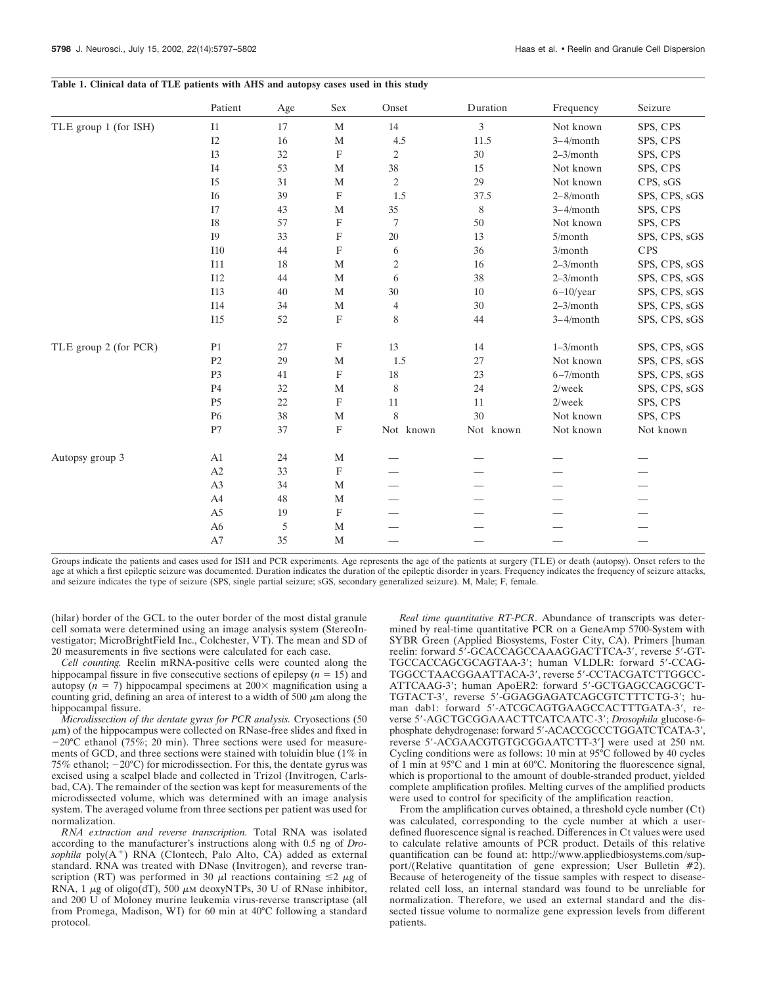## **Table 1. Clinical data of TLE patients with AHS and autopsy cases used in this study**

|                       | Patient        | Age    | Sex                       | Onset          | Duration    | Frequency      | Seizure       |
|-----------------------|----------------|--------|---------------------------|----------------|-------------|----------------|---------------|
| TLE group 1 (for ISH) | I1             | 17     | $\mathbf M$               | 14             | 3           | Not known      | SPS, CPS      |
|                       | I2             | 16     | $\mathbf M$               | 4.5            | 11.5        | $3-4/m$ onth   | SPS, CPS      |
|                       | I3             | 32     | $\boldsymbol{\mathrm{F}}$ | $\mathfrak{2}$ | $30\,$      | $2-3/month$    | SPS, CPS      |
|                       | I <sub>4</sub> | 53     | M                         | 38             | 15          | Not known      | SPS, CPS      |
|                       | <b>I5</b>      | 31     | M                         | 2              | 29          | Not known      | CPS, sGS      |
|                       | <b>I6</b>      | 39     | $\boldsymbol{\mathrm{F}}$ | 1.5            | 37.5        | $2-8/month$    | SPS, CPS, sGS |
|                       | I7             | 43     | $\mathbf M$               | 35             | $\,$ 8 $\,$ | $3-4/month$    | SPS, CPS      |
|                       | <b>I8</b>      | 57     | $\mathbf{F}$              | $\overline{7}$ | 50          | Not known      | SPS, CPS      |
|                       | <b>I9</b>      | 33     | F                         | 20             | 13          | 5/month        | SPS, CPS, sGS |
|                       | I10            | 44     | F                         | 6              | 36          | 3/month        | <b>CPS</b>    |
|                       | I11            | $18\,$ | $\mathbf M$               | 2              | 16          | $2-3/month$    | SPS, CPS, sGS |
|                       | <b>I12</b>     | 44     | M                         | 6              | 38          | $2-3/month$    | SPS, CPS, sGS |
|                       | I13            | 40     | M                         | 30             | 10          | $6-10$ /year   | SPS, CPS, sGS |
|                       | I14            | 34     | $\mathbf M$               | $\overline{4}$ | 30          | $2 - 3$ /month | SPS, CPS, sGS |
|                       | <b>I15</b>     | 52     | $\boldsymbol{\mathrm{F}}$ | 8              | 44          | $3-4/month$    | SPS, CPS, sGS |
| TLE group 2 (for PCR) | P <sub>1</sub> | 27     | F                         | 13             | 14          | $1 - 3$ /month | SPS, CPS, sGS |
|                       | P <sub>2</sub> | 29     | $\mathbf M$               | 1.5            | $27\,$      | Not known      | SPS, CPS, sGS |
|                       | P <sub>3</sub> | 41     | F                         | $18\,$         | 23          | $6 - 7$ /month | SPS, CPS, sGS |
|                       | P <sub>4</sub> | 32     | M                         | 8              | 24          | $2$ /week      | SPS, CPS, sGS |
|                       | P <sub>5</sub> | 22     | F                         | 11             | 11          | $2$ /week      | SPS, CPS      |
|                       | <b>P6</b>      | 38     | $\mathbf M$               | 8              | 30          | Not known      | SPS, CPS      |
|                       | P7             | 37     | $\mathbf{F}$              | Not known      | Not known   | Not known      | Not known     |
| Autopsy group 3       | A1             | 24     | M                         |                |             |                |               |
|                       | A2             | 33     | $\boldsymbol{\mathrm{F}}$ |                |             |                |               |
|                       | A3             | 34     | $\mathbf M$               |                |             |                |               |
|                       | A4             | $48\,$ | $\mathbf M$               |                |             |                |               |
|                       | A <sub>5</sub> | 19     | $\mathbf F$               |                |             |                |               |
|                       | A <sub>6</sub> | 5      | M                         |                |             |                |               |
|                       | A7             | 35     | M                         |                |             |                |               |

Groups indicate the patients and cases used for ISH and PCR experiments. Age represents the age of the patients at surgery (TLE) or death (autopsy). Onset refers to the age at which a first epileptic seizure was documented. Duration indicates the duration of the epileptic disorder in years. Frequency indicates the frequency of seizure attacks, and seizure indicates the type of seizure (SPS, single partial seizure; sGS, secondary generalized seizure). M, Male; F, female.

(hilar) border of the GCL to the outer border of the most distal granule cell somata were determined using an image analysis system (StereoInvestigator; MicroBrightField Inc., Colchester, VT). The mean and SD of 20 measurements in five sections were calculated for each case.

*Cell counting.* Reelin mRNA-positive cells were counted along the hippocampal fissure in five consecutive sections of epilepsy  $(n = 15)$  and autopsy  $(n = 7)$  hippocampal specimens at  $200 \times$  magnification using a counting grid, defining an area of interest to a width of 500  $\mu$ m along the hippocampal fissure.

*Microdissection of the dentate gyrus for PCR analysis.* Cryosections (50  $\mu$ m) of the hippocampus were collected on RNase-free slides and fixed in  $-20^{\circ}$ C ethanol (75%; 20 min). Three sections were used for measurements of GCD, and three sections were stained with toluidin blue (1% in 75% ethanol;  $-20^{\circ}$ C) for microdissection. For this, the dentate gyrus was excised using a scalpel blade and collected in Trizol (Invitrogen, Carlsbad, CA). The remainder of the section was kept for measurements of the microdissected volume, which was determined with an image analysis system. The averaged volume from three sections per patient was used for normalization.

*RNA extraction and reverse transcription.* Total RNA was isolated according to the manufacturer's instructions along with 0.5 ng of *Dro* $sophila$   $poly(A^+)$  RNA (Clontech, Palo Alto, CA) added as external standard. RNA was treated with DNase (Invitrogen), and reverse transcription (RT) was performed in 30  $\mu$ l reactions containing  $\leq$  2  $\mu$ g of RNA, 1  $\mu$ g of oligo(dT), 500  $\mu$ M deoxyNTPs, 30 U of RNase inhibitor, and 200 U of Moloney murine leukemia virus-reverse transcriptase (all from Promega, Madison, WI) for 60 min at 40°C following a standard protocol.

*Real time quantitative RT-PCR.* Abundance of transcripts was determined by real-time quantitative PCR on a GeneAmp 5700-System with SYBR Green (Applied Biosystems, Foster City, CA). Primers [human reelin: forward 5'-GCACCAGCCAAAGGACTTCA-3', reverse 5'-GT-TGCCACCAGCGCAGTAA-3'; human VLDLR: forward 5'-CCAG-TGGCCTAACGGAATTACA-3', reverse 5'-CCTACGATCTTGGCC-ATTCAAG-3'; human ApoER2: forward 5'-GCTGAGCCAGCGCT-TGTACT-3, reverse 5-GGAGGAGATCAGCGTCTTTCTG-3; human dab1: forward 5'-ATCGCAGTGAAGCCACTTTGATA-3', reverse 5-AGCTGCGGAAACTTCATCAATC-3; *Drosophila* glucose-6 phosphate dehydrogenase: forward 5'-ACACCGCCCTGGATCTCATA-3', reverse 5-ACGAACGTGTGCGGAATCTT-3] were used at 250 nM. Cycling conditions were as follows: 10 min at 95°C followed by 40 cycles of 1 min at 95°C and 1 min at 60°C. Monitoring the fluorescence signal, which is proportional to the amount of double-stranded product, yielded complete amplification profiles. Melting curves of the amplified products were used to control for specificity of the amplification reaction.

From the amplification curves obtained, a threshold cycle number (Ct) was calculated, corresponding to the cycle number at which a userdefined fluorescence signal is reached. Differences in Ct values were used to calculate relative amounts of PCR product. Details of this relative quantification can be found at: http://www.appliedbiosystems.com/support/(Relative quantitation of gene expression; User Bulletin #2). Because of heterogeneity of the tissue samples with respect to diseaserelated cell loss, an internal standard was found to be unreliable for normalization. Therefore, we used an external standard and the dissected tissue volume to normalize gene expression levels from different patients.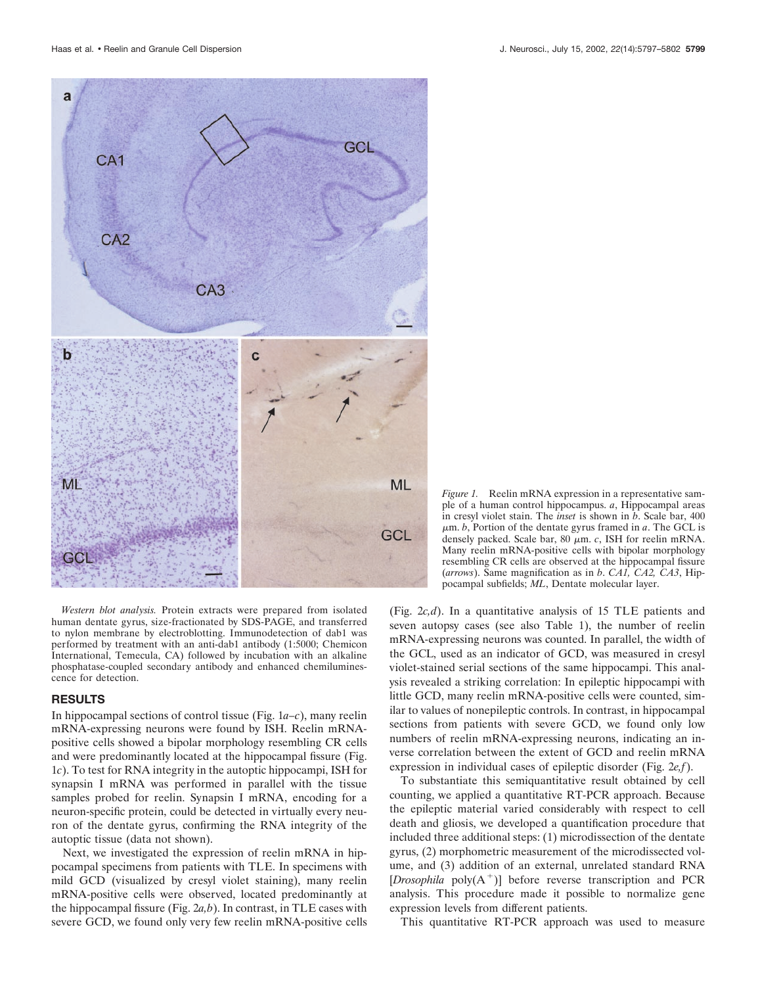

*Western blot analysis.* Protein extracts were prepared from isolated human dentate gyrus, size-fractionated by SDS-PAGE, and transferred to nylon membrane by electroblotting. Immunodetection of dab1 was performed by treatment with an anti-dab1 antibody (1:5000; Chemicon International, Temecula, CA) followed by incubation with an alkaline phosphatase-coupled secondary antibody and enhanced chemiluminescence for detection.

## **RESULTS**

In hippocampal sections of control tissue (Fig. 1*a–c*), many reelin mRNA-expressing neurons were found by ISH. Reelin mRNApositive cells showed a bipolar morphology resembling CR cells and were predominantly located at the hippocampal fissure (Fig. 1*c*). To test for RNA integrity in the autoptic hippocampi, ISH for synapsin I mRNA was performed in parallel with the tissue samples probed for reelin. Synapsin I mRNA, encoding for a neuron-specific protein, could be detected in virtually every neuron of the dentate gyrus, confirming the RNA integrity of the autoptic tissue (data not shown).

Next, we investigated the expression of reelin mRNA in hippocampal specimens from patients with TLE. In specimens with mild GCD (visualized by cresyl violet staining), many reelin mRNA-positive cells were observed, located predominantly at the hippocampal fissure (Fig. 2*a,b*). In contrast, in TLE cases with severe GCD, we found only very few reelin mRNA-positive cells

*Figure 1.* Reelin mRNA expression in a representative sample of a human control hippocampus. *a*, Hippocampal areas in cresyl violet stain. The *inset* is shown in *b*. Scale bar, 400  $\mu$ m. *b*, Portion of the dentate gyrus framed in *a*. The GCL is densely packed. Scale bar, 80  $\mu$ m. *c*, ISH for reelin mRNA. Many reelin mRNA-positive cells with bipolar morphology resembling CR cells are observed at the hippocampal fissure (*arrows*). Same magnification as in *b*. *CA1, CA2, CA3*, Hippocampal subfields; *ML*, Dentate molecular layer.

(Fig. 2*c,d*). In a quantitative analysis of 15 TLE patients and seven autopsy cases (see also Table 1), the number of reelin mRNA-expressing neurons was counted. In parallel, the width of the GCL, used as an indicator of GCD, was measured in cresyl violet-stained serial sections of the same hippocampi. This analysis revealed a striking correlation: In epileptic hippocampi with little GCD, many reelin mRNA-positive cells were counted, similar to values of nonepileptic controls. In contrast, in hippocampal sections from patients with severe GCD, we found only low numbers of reelin mRNA-expressing neurons, indicating an inverse correlation between the extent of GCD and reelin mRNA expression in individual cases of epileptic disorder (Fig. 2*e,f*).

To substantiate this semiquantitative result obtained by cell counting, we applied a quantitative RT-PCR approach. Because the epileptic material varied considerably with respect to cell death and gliosis, we developed a quantification procedure that included three additional steps: (1) microdissection of the dentate gyrus, (2) morphometric measurement of the microdissected volume, and (3) addition of an external, unrelated standard RNA [*Drosophila* poly $(A^+)$ ] before reverse transcription and PCR analysis. This procedure made it possible to normalize gene expression levels from different patients.

This quantitative RT-PCR approach was used to measure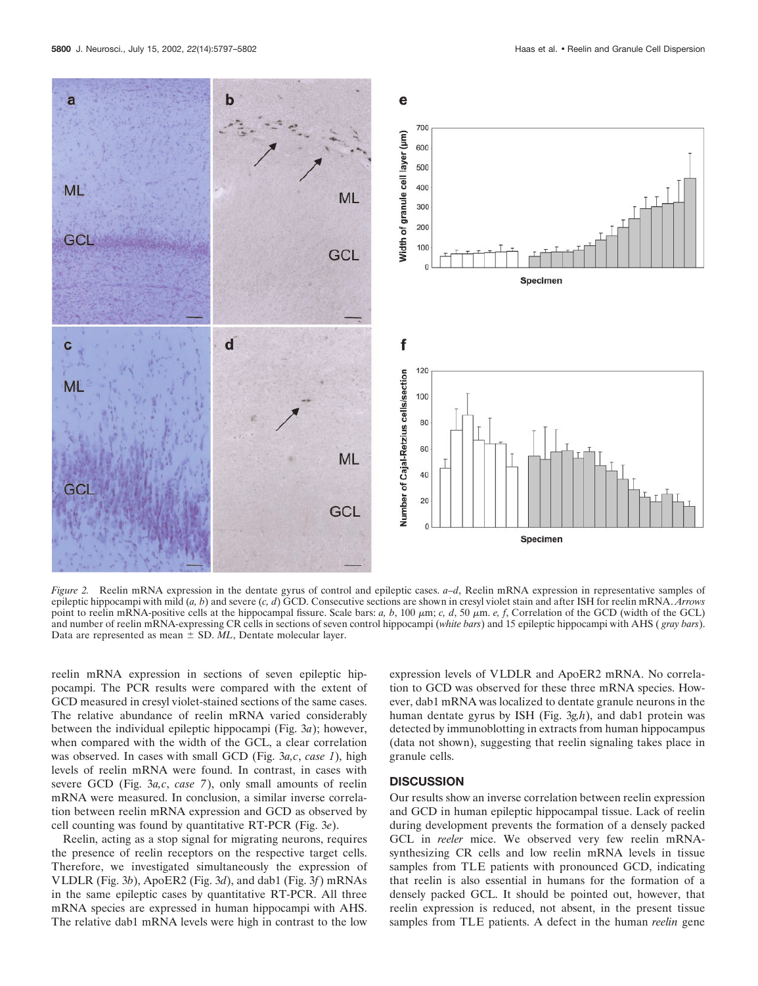

*Figure 2.* Reelin mRNA expression in the dentate gyrus of control and epileptic cases. *a–d*, Reelin mRNA expression in representative samples of epileptic hippocampi with mild (*a, b*) and severe (*c, d*) GCD. Consecutive sections are shown in cresyl violet stain and after ISH for reelin mRNA. *Arrows* point to reelin mRNA-positive cells at the hippocampal fissure. Scale bars: *a, b*, 100  $\mu$ m; *c, d*, 50  $\mu$ m. *e, f*, Correlation of the GCD (width of the GCL) and number of reelin mRNA-expressing CR cells in sections of seven control hippocampi (*white bars*) and 15 epileptic hippocampi with AHS ( *gray bars*). Data are represented as mean  $\pm$  SD. *ML*, Dentate molecular layer.

reelin mRNA expression in sections of seven epileptic hippocampi. The PCR results were compared with the extent of GCD measured in cresyl violet-stained sections of the same cases. The relative abundance of reelin mRNA varied considerably between the individual epileptic hippocampi (Fig. 3*a*); however, when compared with the width of the GCL, a clear correlation was observed. In cases with small GCD (Fig. 3*a,c*, *case 1*), high levels of reelin mRNA were found. In contrast, in cases with severe GCD (Fig. 3*a,c*, *case 7*), only small amounts of reelin mRNA were measured. In conclusion, a similar inverse correlation between reelin mRNA expression and GCD as observed by cell counting was found by quantitative RT-PCR (Fig. 3*e*).

Reelin, acting as a stop signal for migrating neurons, requires the presence of reelin receptors on the respective target cells. Therefore, we investigated simultaneously the expression of VLDLR (Fig. 3*b*), ApoER2 (Fig. 3*d*), and dab1 (Fig. 3*f*) mRNAs in the same epileptic cases by quantitative RT-PCR. All three mRNA species are expressed in human hippocampi with AHS. The relative dab1 mRNA levels were high in contrast to the low expression levels of VLDLR and ApoER2 mRNA. No correlation to GCD was observed for these three mRNA species. However, dab1 mRNA was localized to dentate granule neurons in the human dentate gyrus by ISH (Fig. 3*g,h*), and dab1 protein was detected by immunoblotting in extracts from human hippocampus (data not shown), suggesting that reelin signaling takes place in granule cells.

## **DISCUSSION**

Our results show an inverse correlation between reelin expression and GCD in human epileptic hippocampal tissue. Lack of reelin during development prevents the formation of a densely packed GCL in *reeler* mice. We observed very few reelin mRNAsynthesizing CR cells and low reelin mRNA levels in tissue samples from TLE patients with pronounced GCD, indicating that reelin is also essential in humans for the formation of a densely packed GCL. It should be pointed out, however, that reelin expression is reduced, not absent, in the present tissue samples from TLE patients. A defect in the human *reelin* gene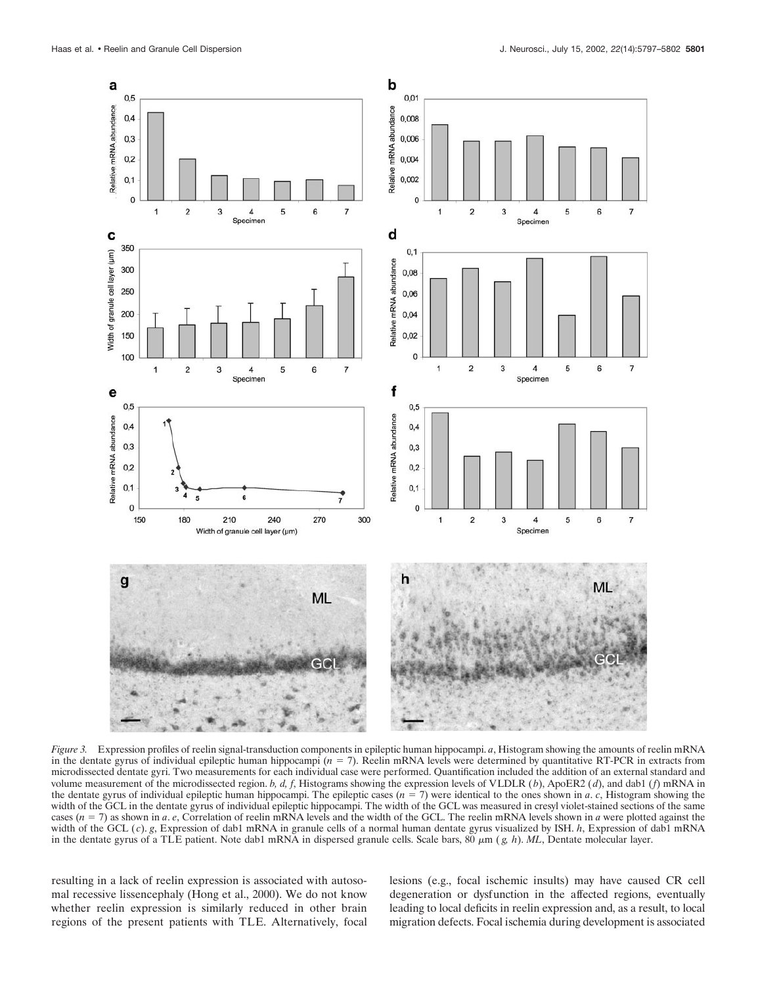

*Figure 3.* Expression profiles of reelin signal-transduction components in epileptic human hippocampi. *a*, Histogram showing the amounts of reelin mRNA in the dentate gyrus of individual epileptic human hippocampi (*n* = 7). Reelin mRNA levels were determined by quantitative RT-PCR in extracts from microdissected dentate gyri. Two measurements for each individual case were performed. Quantification included the addition of an external standard and volume measurement of the microdissected region. *b, d, f*, Histograms showing the expression levels of VLDLR (*b*), ApoER2 (*d*), and dab1 (*f*) mRNA in the dentate gyrus of individual epileptic human hippocampi. The epileptic cases  $(n = 7)$  were identical to the ones shown in *a*. *c*, Histogram showing the width of the GCL in the dentate gyrus of individual epileptic hippocampi. The width of the GCL was measured in cresyl violet-stained sections of the same cases  $(n = 7)$  as shown in *a*. *e*, Correlation of reelin mRNA levels and the width of the GCL. The reelin mRNA levels shown in *a* were plotted against the width of the GCL (*c*). *g*, Expression of dab1 mRNA in granule cells of a normal human dentate gyrus visualized by ISH. *h*, Expression of dab1 mRNA in the dentate gyrus of a TLE patient. Note dab1 mRNA in dispersed granule cells. Scale bars,  $80 \mu m$  ( $g$ ,  $h$ ). *ML*, Dentate molecular layer.

resulting in a lack of reelin expression is associated with autosomal recessive lissencephaly (Hong et al., 2000). We do not know whether reelin expression is similarly reduced in other brain regions of the present patients with TLE. Alternatively, focal lesions (e.g., focal ischemic insults) may have caused CR cell degeneration or dysfunction in the affected regions, eventually leading to local deficits in reelin expression and, as a result, to local migration defects. Focal ischemia during development is associated